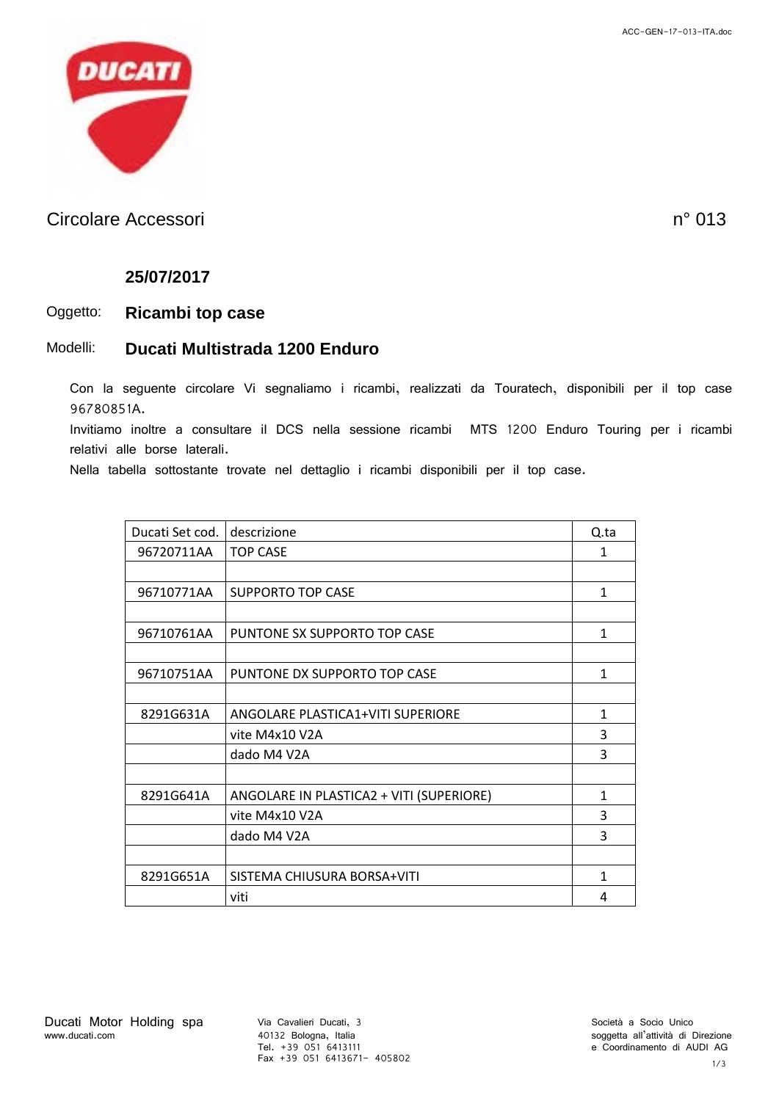

### Circolare Accessori n° 013

#### **25/07/2017**

#### Oggetto: **Ricambi top case**

#### Modelli: **Ducati Multistrada 1200 Enduro**

Con la seguente circolare Vi segnaliamo i ricambi, realizzati da Touratech, disponibili per il top case 96780851A.

Invitiamo inoltre a consultare il DCS nella sessione ricambi MTS 1200 Enduro Touring per i ricambi relativi alle borse laterali.

Nella tabella sottostante trovate nel dettaglio i ricambi disponibili per il top case.

| Ducati Set cod. | descrizione                              | Q.ta         |
|-----------------|------------------------------------------|--------------|
| 96720711AA      | <b>TOP CASE</b>                          | 1            |
|                 |                                          |              |
| 96710771AA      | <b>SUPPORTO TOP CASE</b>                 | 1            |
|                 |                                          |              |
| 96710761AA      | PUNTONE SX SUPPORTO TOP CASE             | $\mathbf{1}$ |
|                 |                                          |              |
| 96710751AA      | PUNTONE DX SUPPORTO TOP CASE             | 1            |
|                 |                                          |              |
| 8291G631A       | ANGOLARE PLASTICA1+VITI SUPERIORE        | 1            |
|                 | vite M4x10 V2A                           | 3            |
|                 | dado M4 V2A                              | 3            |
|                 |                                          |              |
| 8291G641A       | ANGOLARE IN PLASTICA2 + VITI (SUPERIORE) | 1            |
|                 | vite M4x10 V2A                           | 3            |
|                 | dado M4 V2A                              | 3            |
|                 |                                          |              |
| 8291G651A       | SISTEMA CHIUSURA BORSA+VITI              | 1            |
|                 | viti                                     | 4            |

40132 Bologna, Italia Tel. +39 051 6413111 Fax +39 051 6413671- 405802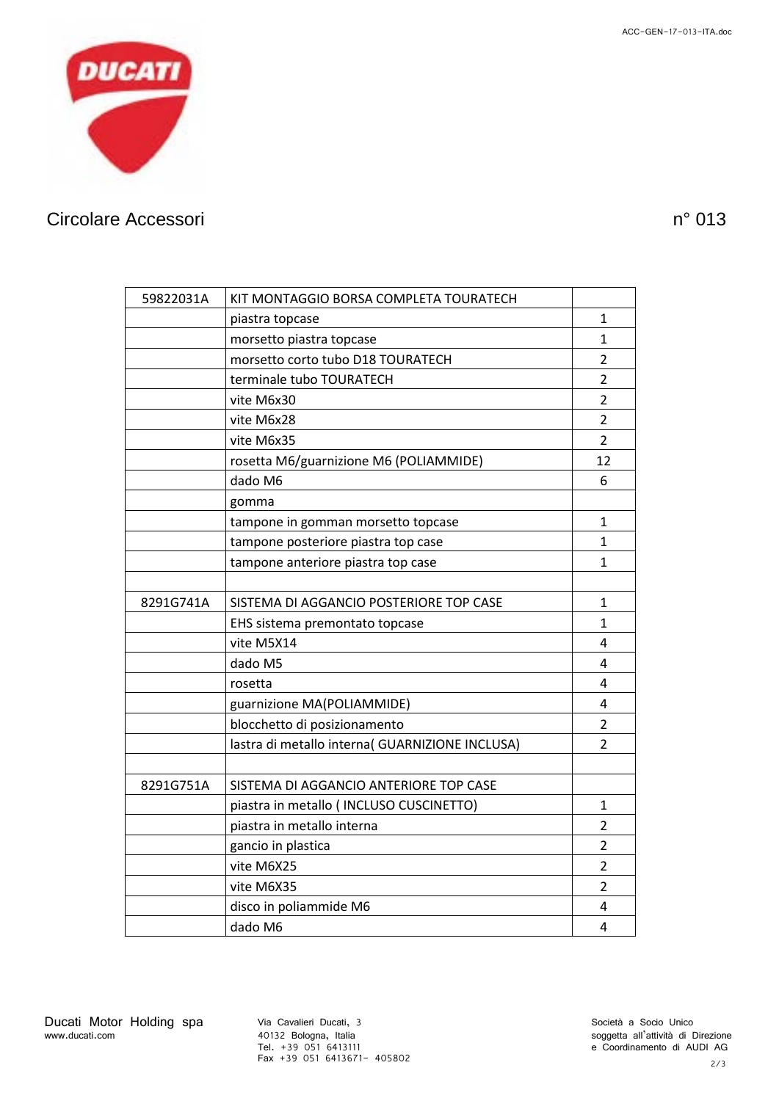

# Circolare Accessori n° 013

| 59822031A | KIT MONTAGGIO BORSA COMPLETA TOURATECH          |                |
|-----------|-------------------------------------------------|----------------|
|           | piastra topcase                                 | 1              |
|           | morsetto piastra topcase                        | $\mathbf{1}$   |
|           | morsetto corto tubo D18 TOURATECH               | $\overline{2}$ |
|           | terminale tubo TOURATECH                        | $\overline{2}$ |
|           | vite M6x30                                      | $\overline{2}$ |
|           | vite M6x28                                      | $\overline{2}$ |
|           | vite M6x35                                      | $\overline{2}$ |
|           | rosetta M6/guarnizione M6 (POLIAMMIDE)          | 12             |
|           | dado M6                                         | 6              |
|           | gomma                                           |                |
|           | tampone in gomman morsetto topcase              | 1              |
|           | tampone posteriore piastra top case             | 1              |
|           | tampone anteriore piastra top case              | 1              |
|           |                                                 |                |
| 8291G741A | SISTEMA DI AGGANCIO POSTERIORE TOP CASE         | 1              |
|           | EHS sistema premontato topcase                  | 1              |
|           | vite M5X14                                      | 4              |
|           | dado M5                                         | 4              |
|           | rosetta                                         | 4              |
|           | guarnizione MA(POLIAMMIDE)                      | 4              |
|           | blocchetto di posizionamento                    | $\overline{2}$ |
|           | lastra di metallo interna( GUARNIZIONE INCLUSA) | $\overline{2}$ |
|           |                                                 |                |
| 8291G751A | SISTEMA DI AGGANCIO ANTERIORE TOP CASE          |                |
|           | piastra in metallo ( INCLUSO CUSCINETTO)        | 1              |
|           | piastra in metallo interna                      | $\overline{2}$ |
|           | gancio in plastica                              | $\overline{2}$ |
|           | vite M6X25                                      | $\overline{2}$ |
|           | vite M6X35                                      | $\overline{2}$ |
|           | disco in poliammide M6                          | 4              |
|           | dado M6                                         | 4              |

40132 Bologna, Italia Tel. +39 051 6413111 Fax +39 051 6413671- 405802 soggetta all'attività di Direzione e Coordinamento di AUDI AG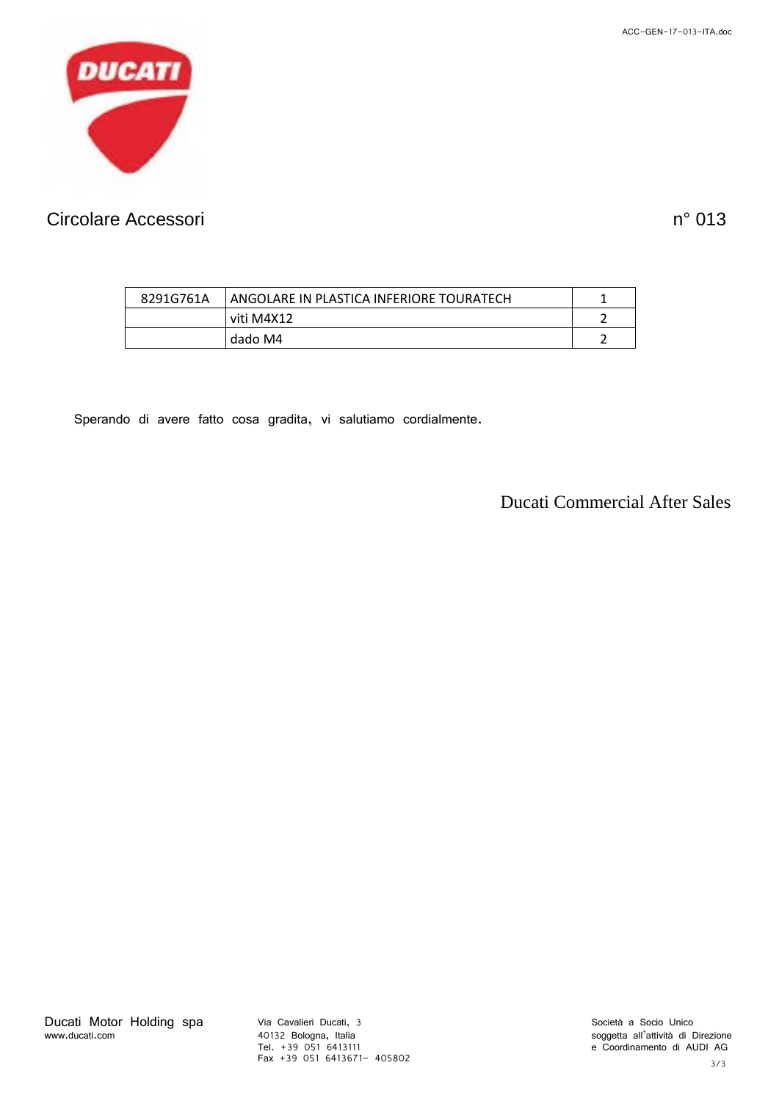ACC-GEN-17-013-ITA.doc



# Circolare Accessori n° 013

| 8291G761A | l ANGOLARE IN PLASTICA INFERIORE TOURATECH |  |
|-----------|--------------------------------------------|--|
|           | viti M4X12                                 |  |
|           | dado M4                                    |  |

Sperando di avere fatto cosa gradita, vi salutiamo cordialmente.

Ducati Commercial After Sales

40132 Bologna, Italia Tel. +39 051 6413111 Fax +39 051 6413671- 405802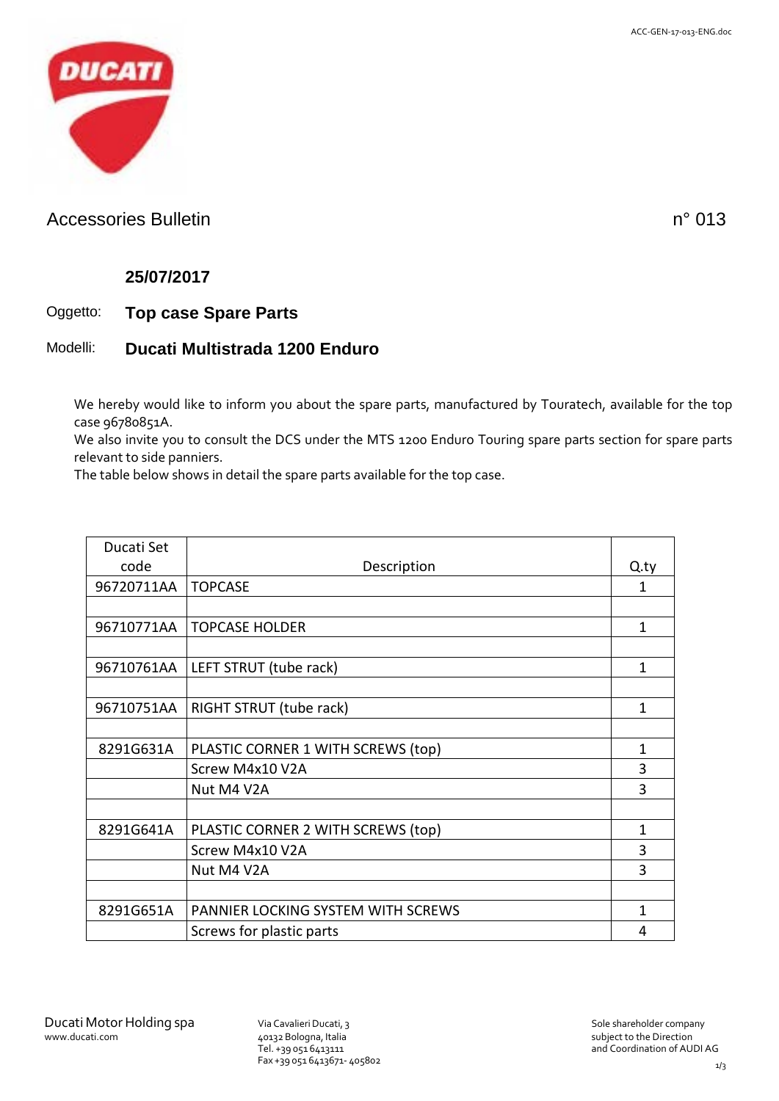

### Accessories Bulletin notice and the set of the set of the set of the set of the n<sup>o</sup> 013

#### **25/07/2017**

### Oggetto: **Top case Spare Parts**

#### Modelli: **Ducati Multistrada 1200 Enduro**

We hereby would like to inform you about the spare parts, manufactured by Touratech, available for the top case 96780851A.

We also invite you to consult the DCS under the MTS 1200 Enduro Touring spare parts section for spare parts relevant to side panniers.

The table below shows in detail the spare parts available for the top case.

| Ducati Set |                                    |      |
|------------|------------------------------------|------|
| code       | Description                        | Q.ty |
| 96720711AA | <b>TOPCASE</b>                     | 1    |
|            |                                    |      |
| 96710771AA | <b>TOPCASE HOLDER</b>              | 1    |
|            |                                    |      |
| 96710761AA | LEFT STRUT (tube rack)             | 1    |
|            |                                    |      |
| 96710751AA | RIGHT STRUT (tube rack)            | 1    |
|            |                                    |      |
| 8291G631A  | PLASTIC CORNER 1 WITH SCREWS (top) | 1    |
|            | Screw M4x10 V2A                    | 3    |
|            | Nut M4 V2A                         | 3    |
|            |                                    |      |
| 8291G641A  | PLASTIC CORNER 2 WITH SCREWS (top) | 1    |
|            | Screw M4x10 V2A                    | 3    |
|            | Nut M4 V2A                         | 3    |
|            |                                    |      |
| 8291G651A  | PANNIER LOCKING SYSTEM WITH SCREWS | 1    |
|            | Screws for plastic parts           | 4    |

40132 Bologna, Italia Tel. +39 051 6413111 Fax +39 051 6413671- 405802

subject to the Direction and Coordination of AUDI AG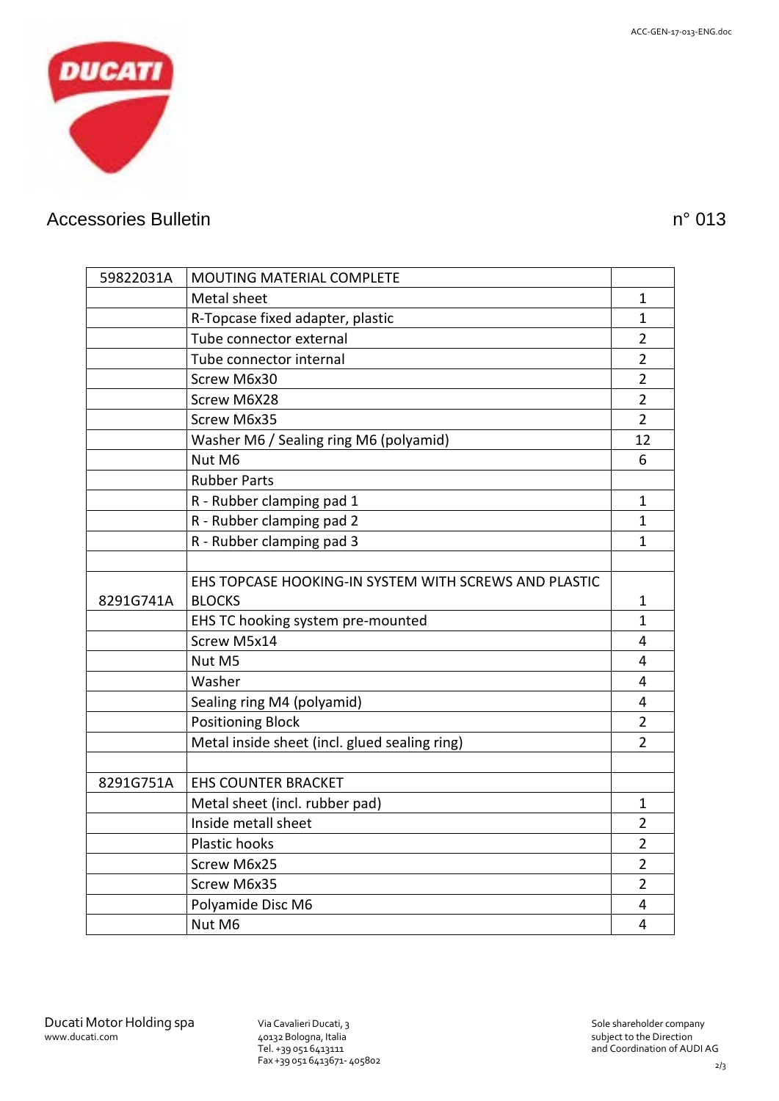

### Accessories Bulletin notice and the set of the set of the set of the set of the n° 013

| 59822031A | <b>MOUTING MATERIAL COMPLETE</b>                      |                |
|-----------|-------------------------------------------------------|----------------|
|           | Metal sheet                                           | 1              |
|           | R-Topcase fixed adapter, plastic                      | $\mathbf{1}$   |
|           | Tube connector external                               | $\overline{2}$ |
|           | Tube connector internal                               | $\overline{2}$ |
|           | Screw M6x30                                           | $\overline{2}$ |
|           | Screw M6X28                                           | $\overline{2}$ |
|           | Screw M6x35                                           | $\overline{2}$ |
|           | Washer M6 / Sealing ring M6 (polyamid)                | 12             |
|           | Nut M6                                                | 6              |
|           | <b>Rubber Parts</b>                                   |                |
|           | R - Rubber clamping pad 1                             | 1              |
|           | R - Rubber clamping pad 2                             | 1              |
|           | R - Rubber clamping pad 3                             | 1              |
|           |                                                       |                |
|           | EHS TOPCASE HOOKING-IN SYSTEM WITH SCREWS AND PLASTIC |                |
| 8291G741A | <b>BLOCKS</b>                                         | $\mathbf{1}$   |
|           | EHS TC hooking system pre-mounted                     | $\mathbf{1}$   |
|           | Screw M5x14                                           | 4              |
|           | Nut M5                                                | 4              |
|           | Washer                                                | 4              |
|           | Sealing ring M4 (polyamid)                            | 4              |
|           | <b>Positioning Block</b>                              | $\overline{2}$ |
|           | Metal inside sheet (incl. glued sealing ring)         | $\overline{2}$ |
|           |                                                       |                |
| 8291G751A | <b>EHS COUNTER BRACKET</b>                            |                |
|           | Metal sheet (incl. rubber pad)                        | $\mathbf{1}$   |
|           | Inside metall sheet                                   | $\overline{2}$ |
|           | Plastic hooks                                         | $\overline{2}$ |
|           | Screw M6x25                                           | $\overline{2}$ |
|           | Screw M6x35                                           | $\overline{2}$ |
|           | Polyamide Disc M6                                     | 4              |
|           | Nut M6                                                | $\overline{4}$ |

Tel. +39 051 6413111 Fax +39 051 6413671- 405802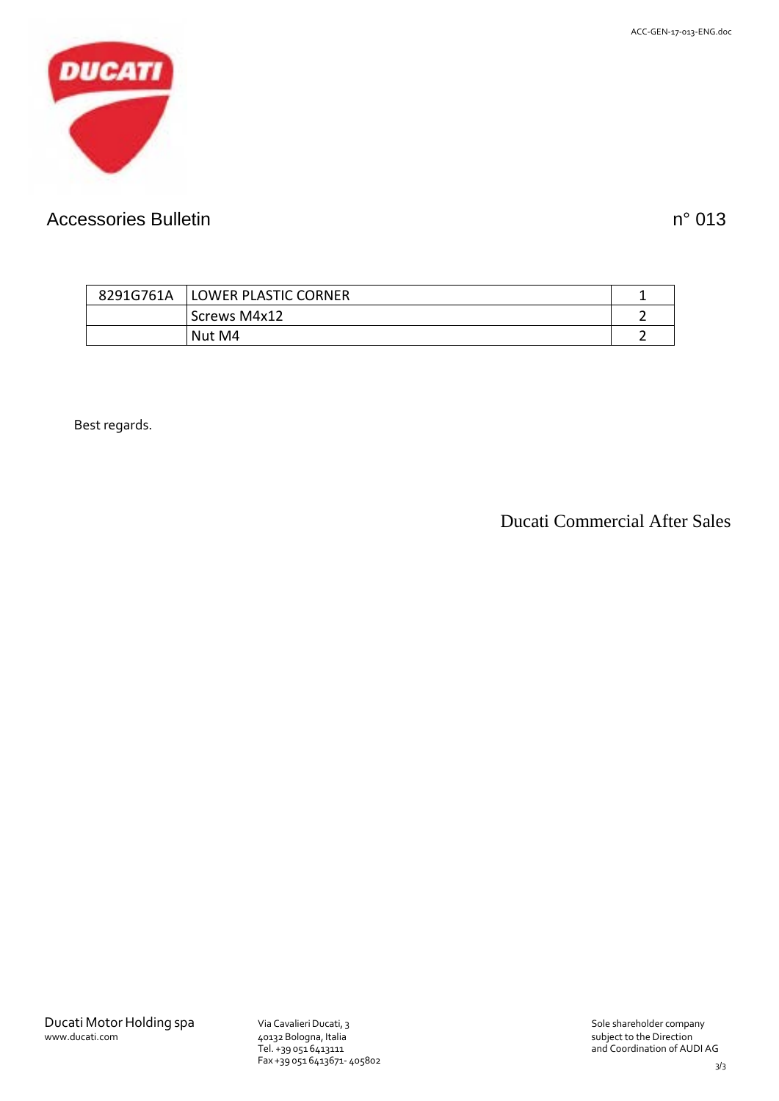

# Accessories Bulletin notice and the set of the set of the set of the set of the n° 013

| 8291G761A | <b>LOWER PLASTIC CORNER</b> |  |
|-----------|-----------------------------|--|
|           | Screws M4x12                |  |
|           | Nut M4                      |  |

Best regards.

Ducati Commercial After Sales

3/3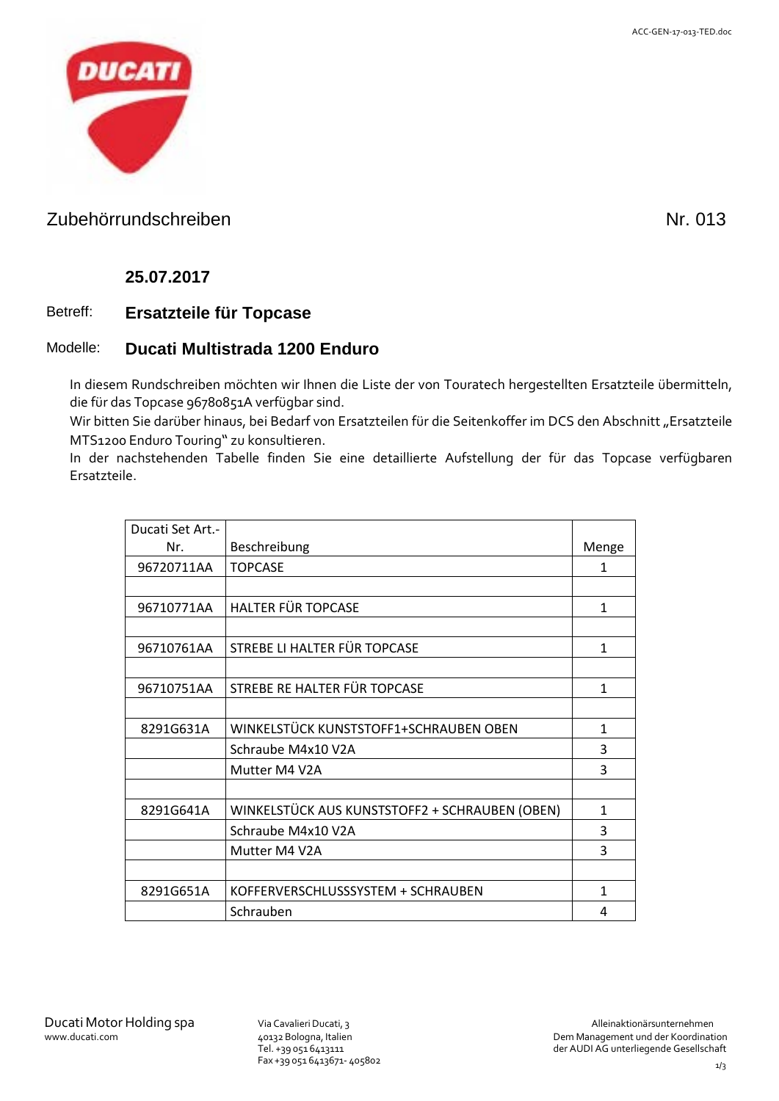

### Zubehörrundschreiben Nr. 013

#### **25.07.2017**

#### Betreff: **Ersatzteile für Topcase**

#### Modelle: **Ducati Multistrada 1200 Enduro**

In diesem Rundschreiben möchten wir Ihnen die Liste der von Touratech hergestellten Ersatzteile übermitteln, die für das Topcase 96780851A verfügbar sind.

Wir bitten Sie darüber hinaus, bei Bedarf von Ersatzteilen für die Seitenkoffer im DCS den Abschnitt "Ersatzteile MTS1200 Enduro Touring" zu konsultieren.

In der nachstehenden Tabelle finden Sie eine detaillierte Aufstellung der für das Topcase verfügbaren Ersatzteile.

| Ducati Set Art.- |                                                |       |
|------------------|------------------------------------------------|-------|
| Nr.              | Beschreibung                                   | Menge |
| 96720711AA       | <b>TOPCASE</b>                                 | 1     |
|                  |                                                |       |
| 96710771AA       | HALTER FÜR TOPCASE                             | 1     |
|                  |                                                |       |
| 96710761AA       | STREBE LI HALTER FÜR TOPCASE                   | 1     |
|                  |                                                |       |
| 96710751AA       | STREBE RE HALTER FÜR TOPCASE                   | 1     |
|                  |                                                |       |
| 8291G631A        | WINKELSTÜCK KUNSTSTOFF1+SCHRAUBEN OBEN         | 1     |
|                  | Schraube M4x10 V2A                             | 3     |
|                  | Mutter M4 V2A                                  | 3     |
|                  |                                                |       |
| 8291G641A        | WINKELSTÜCK AUS KUNSTSTOFF2 + SCHRAUBEN (OBEN) | 1     |
|                  | Schraube M4x10 V2A                             | 3     |
|                  | Mutter M4 V2A                                  | 3     |
|                  |                                                |       |
| 8291G651A        | KOFFERVERSCHLUSSSYSTEM + SCHRAUBEN             | 1     |
|                  | Schrauben                                      | 4     |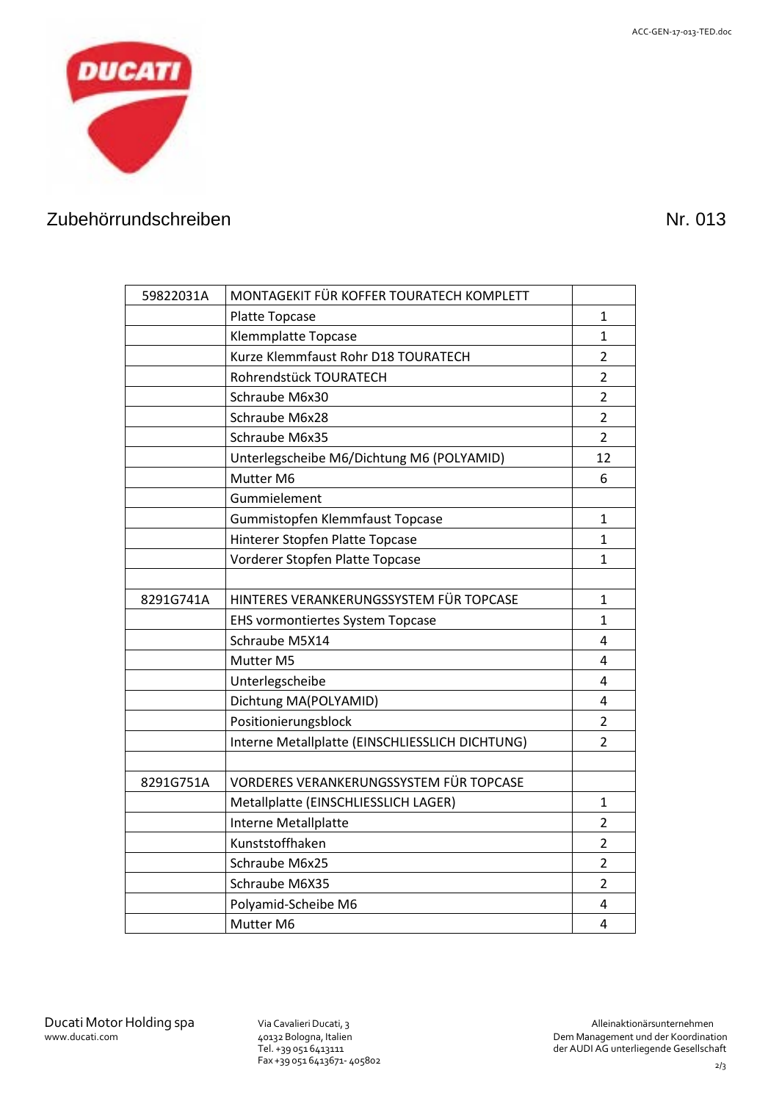

# Zubehörrundschreiben Nr. 013

| 59822031A | MONTAGEKIT FÜR KOFFER TOURATECH KOMPLETT        |                |
|-----------|-------------------------------------------------|----------------|
|           | Platte Topcase                                  | 1              |
|           | <b>Klemmplatte Topcase</b>                      | 1              |
|           | Kurze Klemmfaust Rohr D18 TOURATECH             | $\overline{2}$ |
|           | Rohrendstück TOURATECH                          | $\overline{2}$ |
|           | Schraube M6x30                                  | $\overline{2}$ |
|           | Schraube M6x28                                  | $\overline{2}$ |
|           | Schraube M6x35                                  | 2              |
|           | Unterlegscheibe M6/Dichtung M6 (POLYAMID)       | 12             |
|           | Mutter M6                                       | 6              |
|           | Gummielement                                    |                |
|           | Gummistopfen Klemmfaust Topcase                 | 1              |
|           | Hinterer Stopfen Platte Topcase                 | 1              |
|           | Vorderer Stopfen Platte Topcase                 | 1              |
|           |                                                 |                |
| 8291G741A | HINTERES VERANKERUNGSSYSTEM FÜR TOPCASE         | $\mathbf{1}$   |
|           | <b>EHS vormontiertes System Topcase</b>         | 1              |
|           | Schraube M5X14                                  | 4              |
|           | Mutter M5                                       | 4              |
|           | Unterlegscheibe                                 | 4              |
|           | Dichtung MA(POLYAMID)                           | 4              |
|           | Positionierungsblock                            | $\overline{2}$ |
|           | Interne Metallplatte (EINSCHLIESSLICH DICHTUNG) | $\overline{2}$ |
|           |                                                 |                |
| 8291G751A | VORDERES VERANKERUNGSSYSTEM FÜR TOPCASE         |                |
|           | Metallplatte (EINSCHLIESSLICH LAGER)            | 1              |
|           | Interne Metallplatte                            | 2              |
|           | Kunststoffhaken                                 | $\overline{2}$ |
|           | Schraube M6x25                                  | $\overline{2}$ |
|           | Schraube M6X35                                  | 2              |
|           | Polyamid-Scheibe M6                             | 4              |
|           | Mutter M6                                       | 4              |

Tel. +39 051 6413111 Fax +39 051 6413671- 405802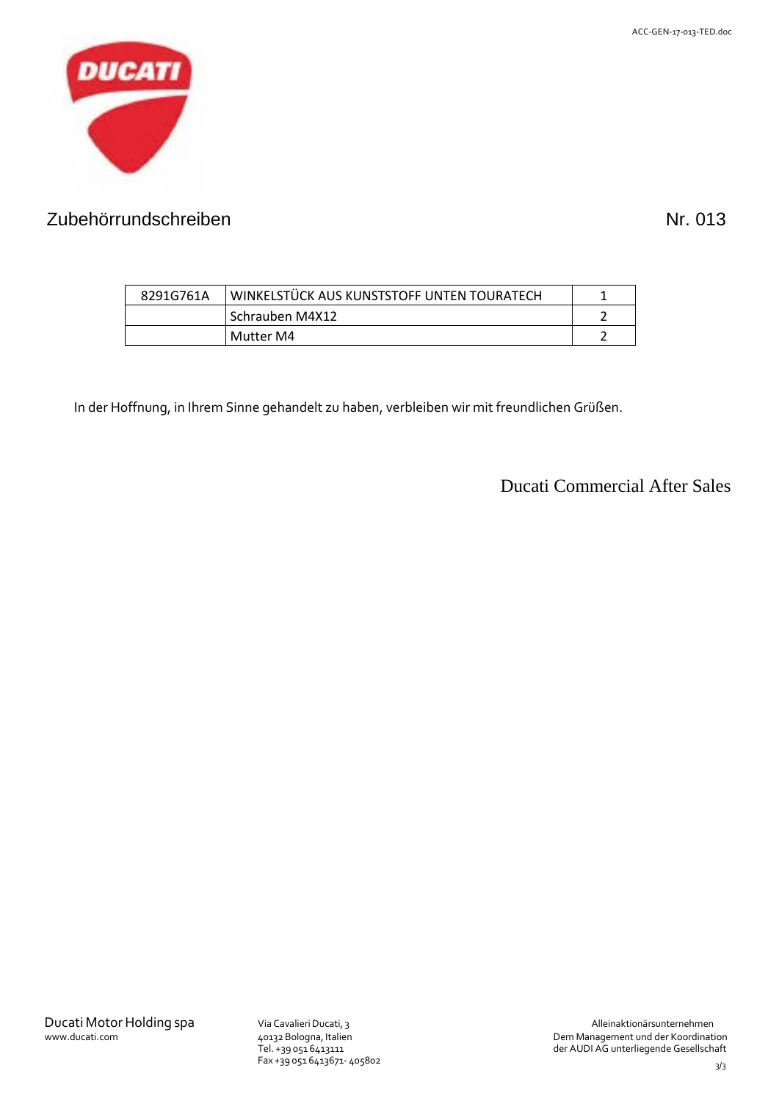

# Zubehörrundschreiben Nr. 013

| 8291G761A | WINKELSTÜCK AUS KUNSTSTOFF UNTEN TOURATECH |  |
|-----------|--------------------------------------------|--|
|           | l Schrauben M4X12                          |  |
|           | Mutter M4                                  |  |

In der Hoffnung, in Ihrem Sinne gehandelt zu haben, verbleiben wir mit freundlichen Grüßen.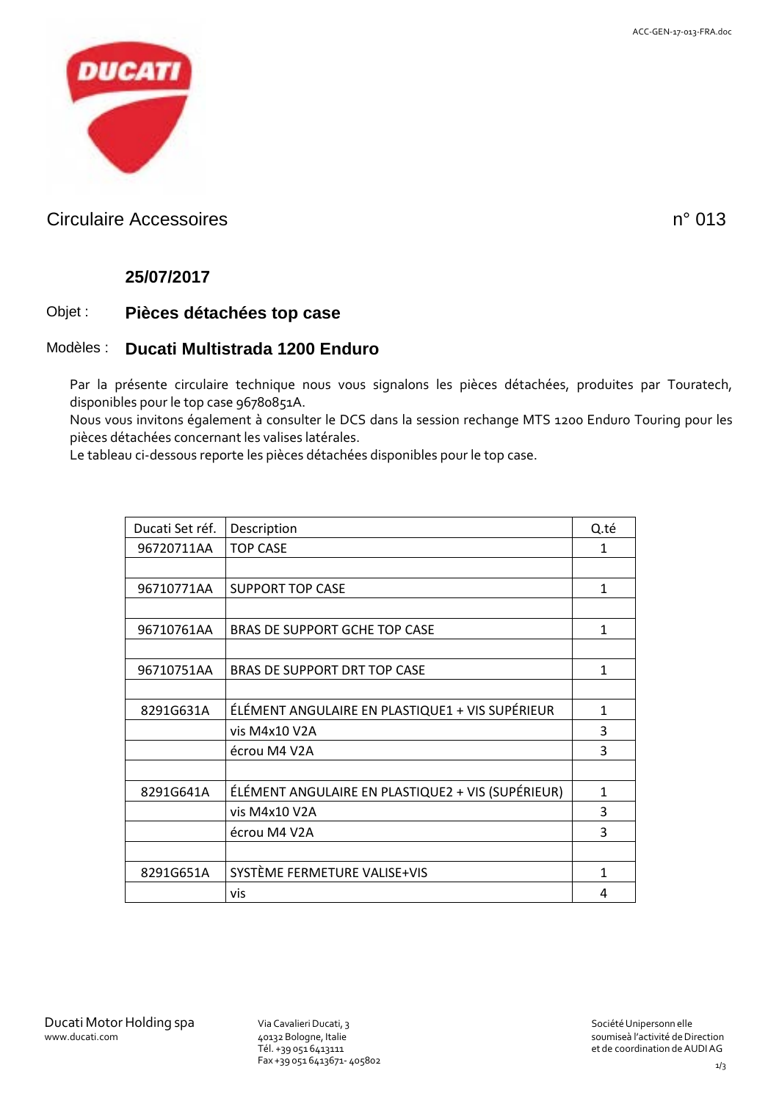

### Circulaire Accessoires n° 013

#### **25/07/2017**

#### Objet : **Pièces détachées top case**

#### Modèles : **Ducati Multistrada 1200 Enduro**

Par la présente circulaire technique nous vous signalons les pièces détachées, produites par Touratech, disponibles pour le top case 96780851A.

Nous vous invitons également à consulter le DCS dans la session rechange MTS 1200 Enduro Touring pour les pièces détachées concernant les valises latérales.

Le tableau ci-dessous reporte les pièces détachées disponibles pour le top case.

| Ducati Set réf.<br>Description<br><b>TOP CASE</b><br>96720711AA | Q.té<br>1    |
|-----------------------------------------------------------------|--------------|
|                                                                 |              |
|                                                                 |              |
|                                                                 |              |
| 96710771AA<br><b>SUPPORT TOP CASE</b>                           | 1            |
|                                                                 |              |
| 96710761AA<br><b>BRAS DE SUPPORT GCHE TOP CASE</b>              | $\mathbf{1}$ |
|                                                                 |              |
| 96710751AA<br><b>BRAS DE SUPPORT DRT TOP CASE</b>               | $\mathbf{1}$ |
|                                                                 |              |
| ÉLÉMENT ANGULAIRE EN PLASTIQUE1 + VIS SUPÉRIEUR<br>8291G631A    | 1            |
| vis M4x10 V2A                                                   | 3            |
| écrou M4 V2A                                                    | 3            |
|                                                                 |              |
| ÉLÉMENT ANGULAIRE EN PLASTIQUE2 + VIS (SUPÉRIEUR)<br>8291G641A  | $\mathbf{1}$ |
| vis M4x10 V2A                                                   | 3            |
| écrou M4 V2A                                                    | 3            |
|                                                                 |              |
| SYSTÈME FERMETURE VALISE+VIS<br>8291G651A                       | 1            |
| vis                                                             | 4            |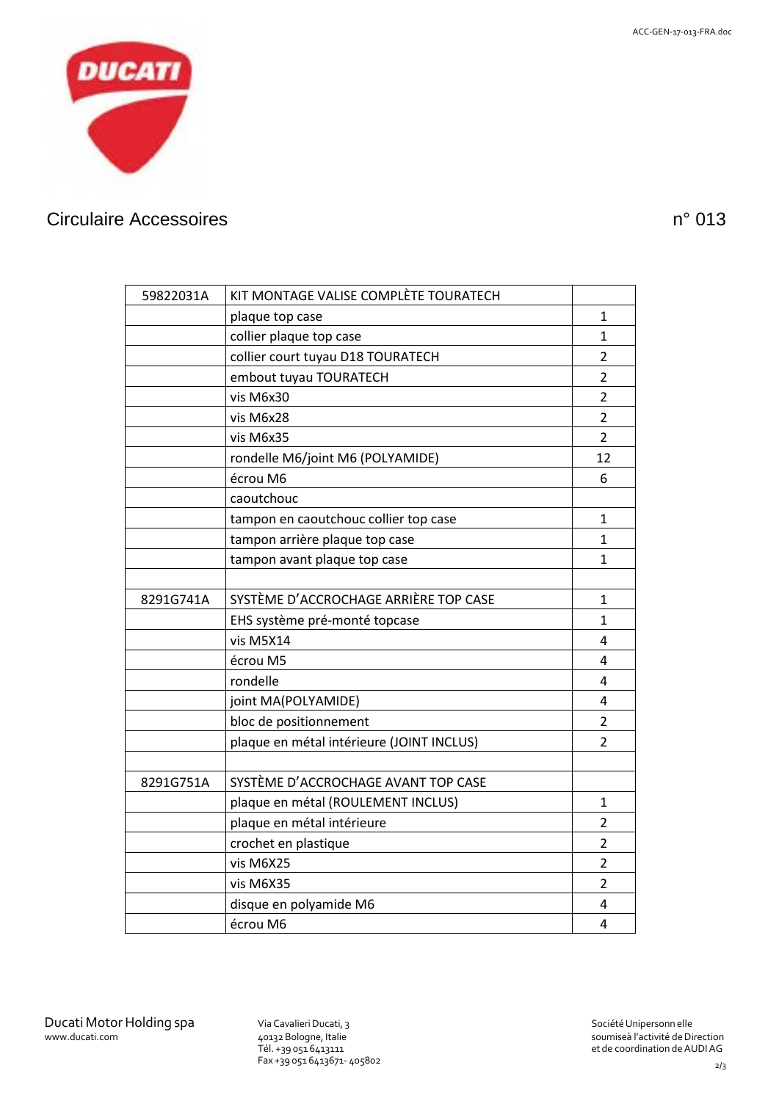

# Circulaire Accessoires n° 013

| 59822031A | KIT MONTAGE VALISE COMPLÈTE TOURATECH     |                |
|-----------|-------------------------------------------|----------------|
|           | plaque top case                           | 1              |
|           | collier plaque top case                   | 1              |
|           | collier court tuyau D18 TOURATECH         | $\overline{2}$ |
|           | embout tuyau TOURATECH                    | $\overline{2}$ |
|           | vis M6x30                                 | $\overline{2}$ |
|           | vis M6x28                                 | $\overline{2}$ |
|           | vis M6x35                                 | 2              |
|           | rondelle M6/joint M6 (POLYAMIDE)          | 12             |
|           | écrou M6                                  | 6              |
|           | caoutchouc                                |                |
|           | tampon en caoutchouc collier top case     | 1              |
|           | tampon arrière plaque top case            | 1              |
|           | tampon avant plaque top case              | 1              |
|           |                                           |                |
| 8291G741A | SYSTÈME D'ACCROCHAGE ARRIÈRE TOP CASE     | 1              |
|           | EHS système pré-monté topcase             | 1              |
|           | vis M5X14                                 | 4              |
|           | écrou M5                                  | 4              |
|           | rondelle                                  | 4              |
|           | joint MA(POLYAMIDE)                       | 4              |
|           | bloc de positionnement                    | $\overline{2}$ |
|           | plaque en métal intérieure (JOINT INCLUS) | 2              |
|           |                                           |                |
| 8291G751A | SYSTÈME D'ACCROCHAGE AVANT TOP CASE       |                |
|           | plaque en métal (ROULEMENT INCLUS)        | 1              |
|           | plaque en métal intérieure                | $\overline{2}$ |
|           | crochet en plastique                      | $\overline{2}$ |
|           | vis M6X25                                 | $\overline{2}$ |
|           | vis M6X35                                 | $\overline{2}$ |
|           | disque en polyamide M6                    | 4              |
|           | écrou M6                                  | 4              |

Tél. +39 051 6413111 Fax +39 051 6413671- 405802 soumiseà l'activité de Direction et de coordination deAUDIAG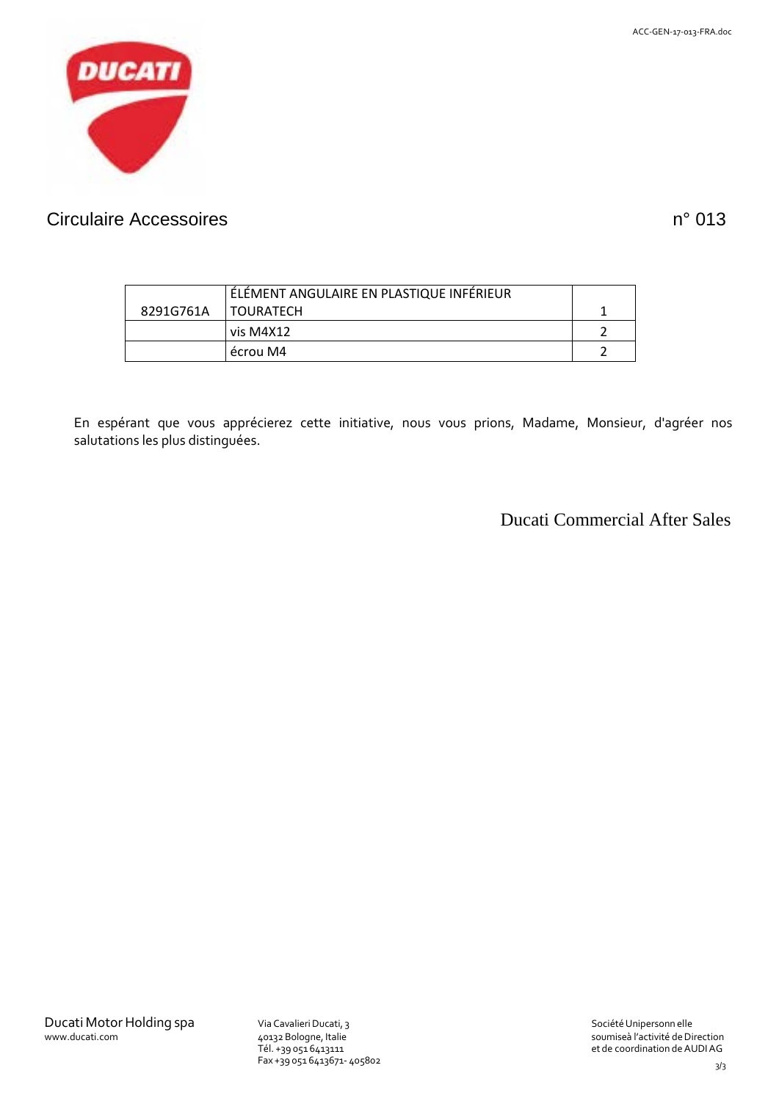

### Circulaire Accessoires n° 013

|           | ÉLÉMENT ANGULAIRE EN PLASTIQUE INFÉRIEUR |  |
|-----------|------------------------------------------|--|
| 8291G761A | <b>I TOURATECH</b>                       |  |
|           | vis M4X12                                |  |
|           | écrou M4                                 |  |

En espérant que vous apprécierez cette initiative, nous vous prions, Madame, Monsieur, d'agréer nos salutations les plus distinguées.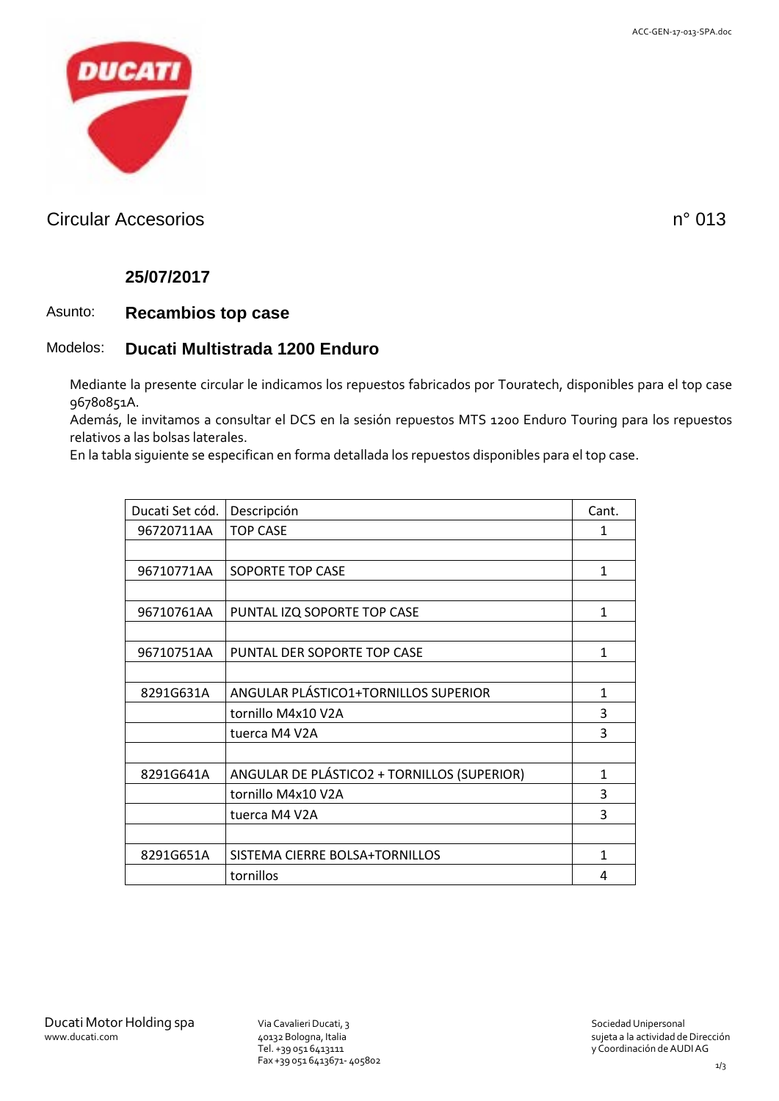

### Circular Accesorios n° 013

#### **25/07/2017**

#### Asunto: **Recambios top case**

#### Modelos: **Ducati Multistrada 1200 Enduro**

Mediante la presente circular le indicamos los repuestos fabricados por Touratech, disponibles para el top case 96780851A.

Además, le invitamos a consultar el DCS en la sesión repuestos MTS 1200 Enduro Touring para los repuestos relativos a las bolsas laterales.

En la tabla siguiente se especifican en forma detallada los repuestos disponibles para el top case.

| Ducati Set cód. | Descripción                                 | Cant. |
|-----------------|---------------------------------------------|-------|
| 96720711AA      | <b>TOP CASE</b>                             | 1     |
|                 |                                             |       |
| 96710771AA      | SOPORTE TOP CASE                            | 1     |
|                 |                                             |       |
| 96710761AA      | PUNTAL IZQ SOPORTE TOP CASE                 | 1     |
|                 |                                             |       |
| 96710751AA      | PUNTAL DER SOPORTE TOP CASE                 | 1     |
|                 |                                             |       |
| 8291G631A       | ANGULAR PLÁSTICO1+TORNILLOS SUPERIOR        | 1     |
|                 | tornillo M4x10 V2A                          | 3     |
|                 | tuerca M4 V2A                               | 3     |
|                 |                                             |       |
| 8291G641A       | ANGULAR DE PLÁSTICO2 + TORNILLOS (SUPERIOR) | 1     |
|                 | tornillo M4x10 V2A                          | 3     |
|                 | tuerca M4 V2A                               | 3     |
|                 |                                             |       |
| 8291G651A       | SISTEMA CIERRE BOLSA+TORNILLOS              | 1     |
|                 | tornillos                                   | 4     |
|                 |                                             |       |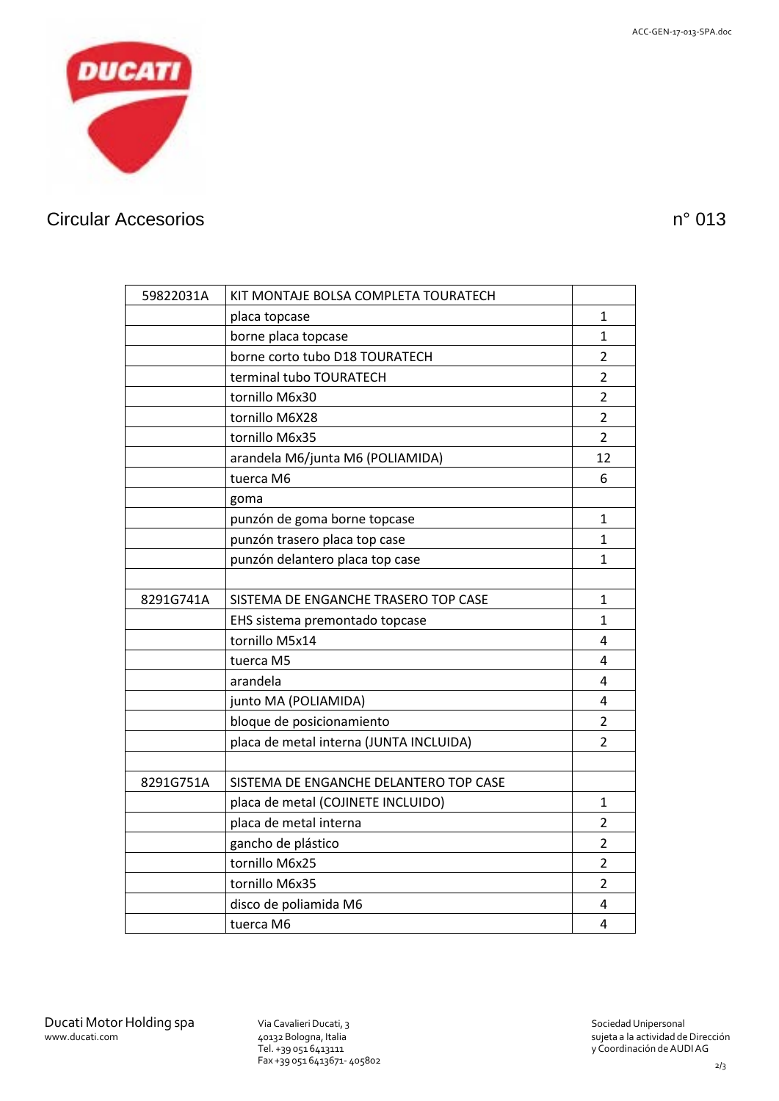

# Circular Accesorios n° 013

| 59822031A | KIT MONTAJE BOLSA COMPLETA TOURATECH    |                |
|-----------|-----------------------------------------|----------------|
|           | placa topcase                           | 1              |
|           | borne placa topcase                     | 1              |
|           | borne corto tubo D18 TOURATECH          | $\overline{2}$ |
|           | terminal tubo TOURATECH                 | $\overline{2}$ |
|           | tornillo M6x30                          | 2              |
|           | tornillo M6X28                          | $\overline{2}$ |
|           | tornillo M6x35                          | $\overline{2}$ |
|           | arandela M6/junta M6 (POLIAMIDA)        | 12             |
|           | tuerca M6                               | 6              |
|           | goma                                    |                |
|           | punzón de goma borne topcase            | 1              |
|           | punzón trasero placa top case           | 1              |
|           | punzón delantero placa top case         | 1              |
|           |                                         |                |
| 8291G741A | SISTEMA DE ENGANCHE TRASERO TOP CASE    | 1              |
|           | EHS sistema premontado topcase          | 1              |
|           | tornillo M5x14                          | 4              |
|           | tuerca M5                               | 4              |
|           | arandela                                | 4              |
|           | junto MA (POLIAMIDA)                    | 4              |
|           | bloque de posicionamiento               | $\overline{2}$ |
|           | placa de metal interna (JUNTA INCLUIDA) | $\mathcal{P}$  |
|           |                                         |                |
| 8291G751A | SISTEMA DE ENGANCHE DELANTERO TOP CASE  |                |
|           | placa de metal (COJINETE INCLUIDO)      | 1              |
|           | placa de metal interna                  | 2              |
|           | gancho de plástico                      | $\overline{2}$ |
|           | tornillo M6x25                          | 2              |
|           | tornillo M6x35                          | 2              |
|           | disco de poliamida M6                   | 4              |
|           | tuerca M6                               | 4              |

Tel. +39 051 6413111 Fax +39 051 6413671- 405802

sujeta a la actividad de Dirección y Coordinación deAUDIAG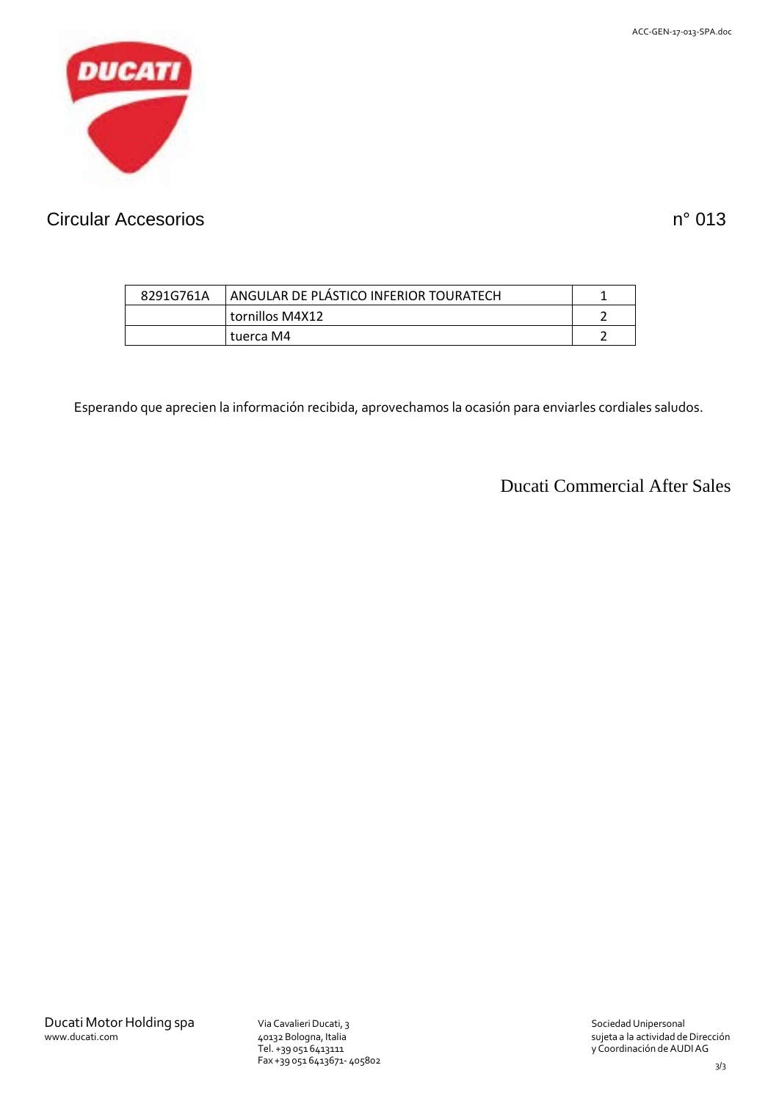

# Circular Accesorios n° 013

| 8291G761A | ANGULAR DE PLÁSTICO INFERIOR TOURATECH |  |
|-----------|----------------------------------------|--|
|           | tornillos M4X12                        |  |
|           | tuerca M4                              |  |

Esperando que aprecien la información recibida, aprovechamos la ocasión para enviarles cordiales saludos.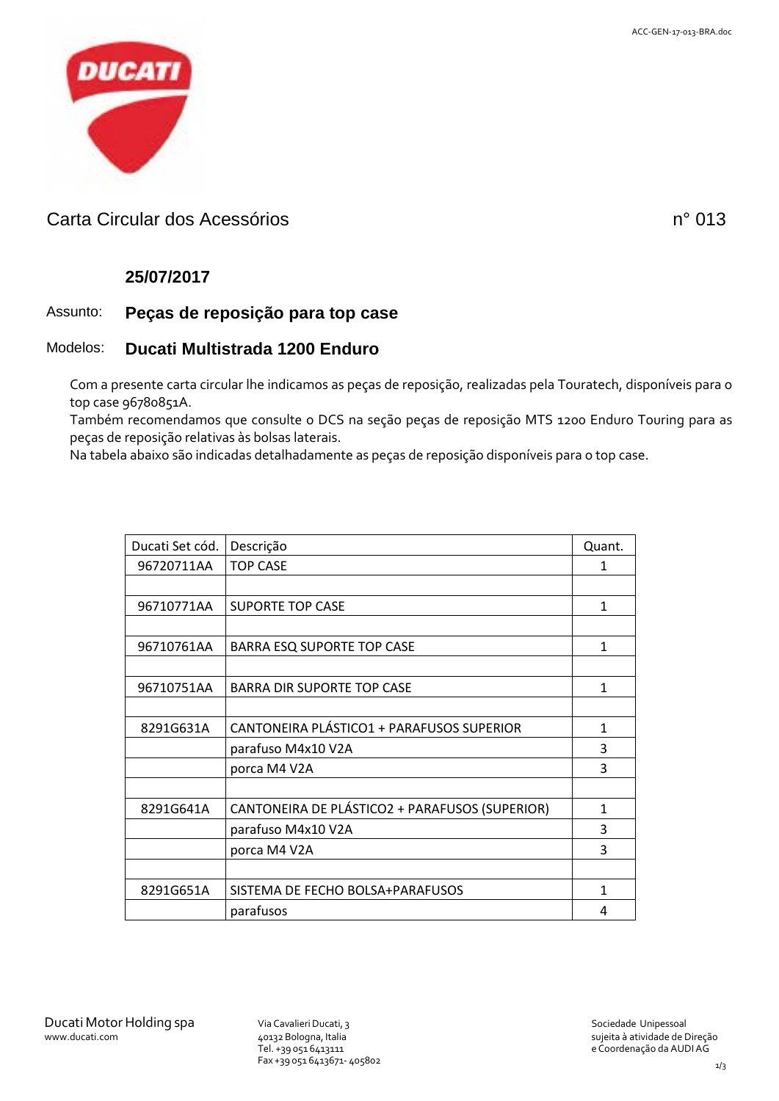

### Carta Circular dos Acessórios no establecer en el establecer en el montre de la provincia de la provincia de l

### **25/07/2017**

### Assunto: **Peças de reposição para top case**

#### Modelos: **Ducati Multistrada 1200 Enduro**

Com a presente carta circular lhe indicamos as peças de reposição, realizadas pela Touratech, disponíveis para o top case 96780851A.

Também recomendamos que consulte o DCS na seção peças de reposição MTS 1200 Enduro Touring para as peças de reposição relativas às bolsas laterais.

Na tabela abaixo são indicadas detalhadamente as peças de reposição disponíveis para o top case.

| Ducati Set cód. | Descrição                                      | Quant.       |
|-----------------|------------------------------------------------|--------------|
| 96720711AA      | <b>TOP CASE</b>                                | 1            |
|                 |                                                |              |
| 96710771AA      | <b>SUPORTE TOP CASE</b>                        | $\mathbf{1}$ |
|                 |                                                |              |
| 96710761AA      | <b>BARRA ESQ SUPORTE TOP CASE</b>              | 1            |
|                 |                                                |              |
| 96710751AA      | <b>BARRA DIR SUPORTE TOP CASE</b>              | 1            |
|                 |                                                |              |
| 8291G631A       | CANTONEIRA PLÁSTICO1 + PARAFUSOS SUPERIOR      | 1            |
|                 | parafuso M4x10 V2A                             | 3            |
|                 | porca M4 V2A                                   | 3            |
|                 |                                                |              |
| 8291G641A       | CANTONEIRA DE PLÁSTICO2 + PARAFUSOS (SUPERIOR) | 1            |
|                 | parafuso M4x10 V2A                             | 3            |
|                 | porca M4 V2A                                   | 3            |
|                 |                                                |              |
| 8291G651A       | SISTEMA DE FECHO BOLSA+PARAFUSOS               | $\mathbf{1}$ |
|                 | parafusos                                      | 4            |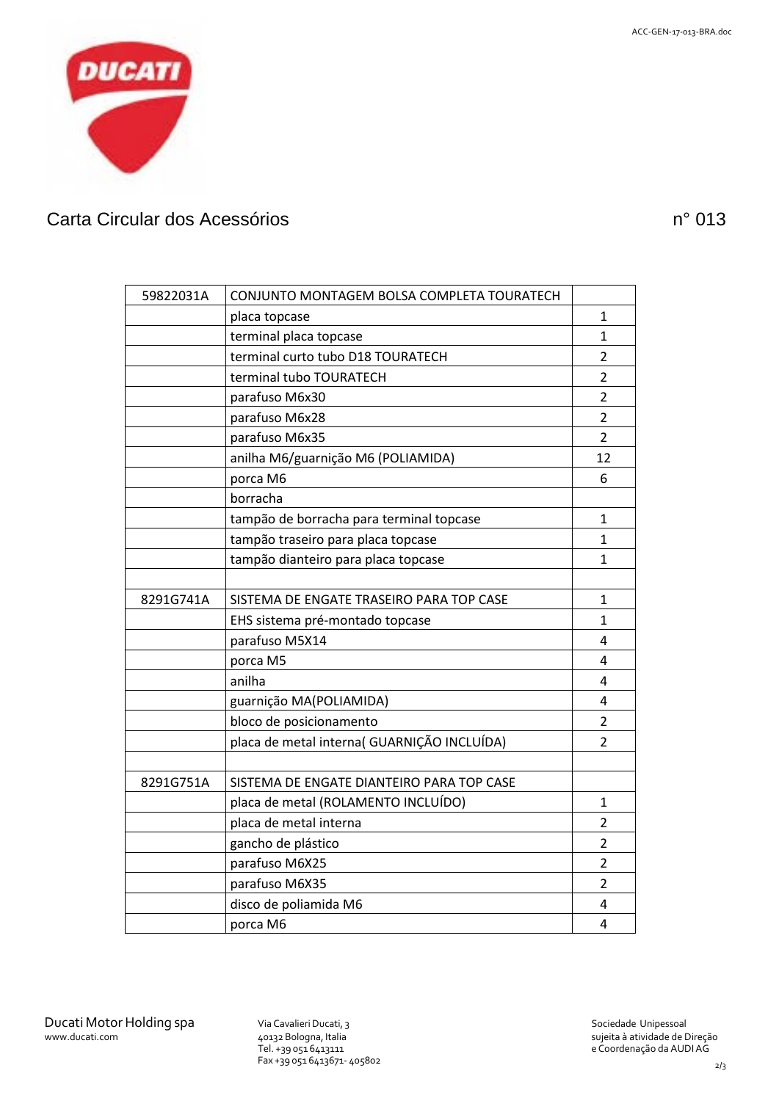

# Carta Circular dos Acessórios nº 013

| 59822031A | CONJUNTO MONTAGEM BOLSA COMPLETA TOURATECH  |                |
|-----------|---------------------------------------------|----------------|
|           | placa topcase                               | 1              |
|           | terminal placa topcase                      | 1              |
|           | terminal curto tubo D18 TOURATECH           | $\overline{2}$ |
|           | terminal tubo TOURATECH                     | $\overline{2}$ |
|           | parafuso M6x30                              | $\overline{2}$ |
|           | parafuso M6x28                              | $\overline{2}$ |
|           | parafuso M6x35                              | $\overline{2}$ |
|           | anilha M6/guarnição M6 (POLIAMIDA)          | 12             |
|           | porca M6                                    | 6              |
|           | borracha                                    |                |
|           | tampão de borracha para terminal topcase    | 1              |
|           | tampão traseiro para placa topcase          | 1              |
|           | tampão dianteiro para placa topcase         | 1              |
|           |                                             |                |
| 8291G741A | SISTEMA DE ENGATE TRASEIRO PARA TOP CASE    | 1              |
|           | EHS sistema pré-montado topcase             | 1              |
|           | parafuso M5X14                              | 4              |
|           | porca M5                                    | 4              |
|           | anilha                                      | 4              |
|           | guarnição MA(POLIAMIDA)                     | 4              |
|           | bloco de posicionamento                     | $\overline{2}$ |
|           | placa de metal interna( GUARNIÇÃO INCLUÍDA) | $\overline{2}$ |
|           |                                             |                |
| 8291G751A | SISTEMA DE ENGATE DIANTEIRO PARA TOP CASE   |                |
|           | placa de metal (ROLAMENTO INCLUÍDO)         | 1              |
|           | placa de metal interna                      | $\overline{2}$ |
|           | gancho de plástico                          | $\overline{2}$ |
|           | parafuso M6X25                              | 2              |
|           | parafuso M6X35                              | 2              |
|           | disco de poliamida M6                       | 4              |
|           | porca M6                                    | 4              |

Tel. +39 051 6413111 Fax +39 051 6413671- 405802 sujeita à atividade de Direção e Coordenação da AUDIAG